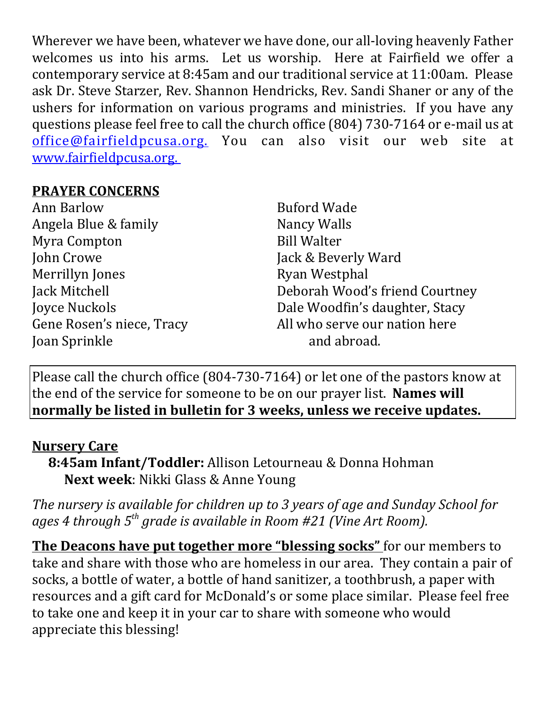Wherever we have been, whatever we have done, our all-loving heavenly Father welcomes us into his arms. Let us worship. Here at Fairfield we offer a contemporary service at 8:45am and our traditional service at 11:00am. Please ask Dr. Steve Starzer, Rev. Shannon Hendricks, Rev. Sandi Shaner or any of the ushers for information on various programs and ministries. If you have any questions please feel free to call the church office (804) 730-7164 or e-mail us at office@fairfieldpcusa.org. You can also visit our web site at www.fairfieldpcusa.org.

## **PRAYER CONCERNS**

Ann Barlow Angela Blue & family Myra Compton John Crowe Merrillyn Jones Jack Mitchell Joyce Nuckols Gene Rosen's niece, Tracy Joan Sprinkle

Buford Wade Nancy Walls Bill Walter Jack & Beverly Ward Ryan Westphal Deborah Wood's friend Courtney Dale Woodfin's daughter, Stacy All who serve our nation here and abroad.

Please call the church office (804-730-7164) or let one of the pastors know at the end of the service for someone to be on our prayer list. **Names will normally be listed in bulletin for 3 weeks, unless we receive updates.**

## **Nursery Care**

**8:45am Infant/Toddler:** Allison Letourneau & Donna Hohman **Next week**: Nikki Glass & Anne Young

*The nursery is available for children up to 3 years of age and Sunday School for ages 4 through 5th grade is available in Room #21 (Vine Art Room).*

**The Deacons have put together more "blessing socks"** for our members to take and share with those who are homeless in our area. They contain a pair of socks, a bottle of water, a bottle of hand sanitizer, a toothbrush, a paper with resources and a gift card for McDonald's or some place similar. Please feel free to take one and keep it in your car to share with someone who would appreciate this blessing!